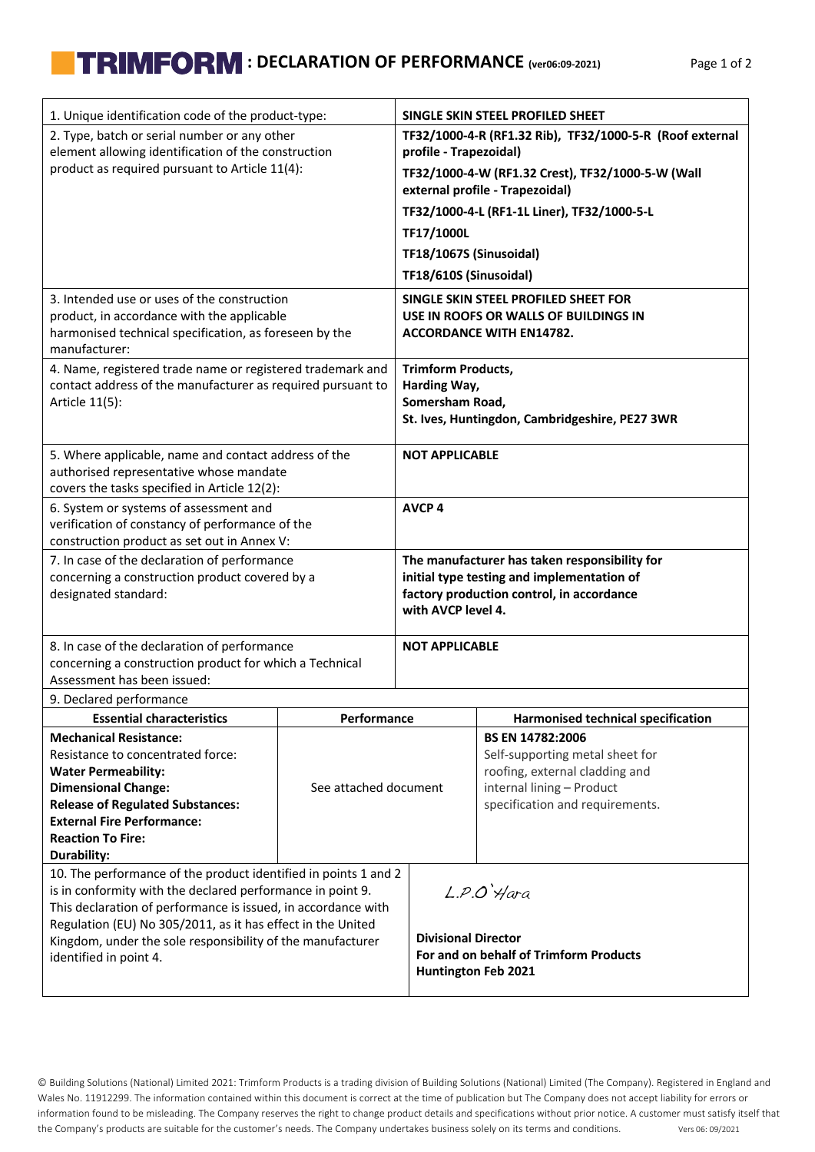## **TRIMFORM** : DECLARATION OF PERFORMANCE (ver06:09-2021) Page 1 of 2

| 1. Unique identification code of the product-type:                                                                            |                       | SINGLE SKIN STEEL PROFILED SHEET               |                                                                                      |  |  |  |  |  |  |  |  |
|-------------------------------------------------------------------------------------------------------------------------------|-----------------------|------------------------------------------------|--------------------------------------------------------------------------------------|--|--|--|--|--|--|--|--|
| 2. Type, batch or serial number or any other                                                                                  |                       |                                                | TF32/1000-4-R (RF1.32 Rib), TF32/1000-5-R (Roof external                             |  |  |  |  |  |  |  |  |
| element allowing identification of the construction                                                                           |                       | profile - Trapezoidal)                         |                                                                                      |  |  |  |  |  |  |  |  |
| product as required pursuant to Article 11(4):                                                                                |                       |                                                | TF32/1000-4-W (RF1.32 Crest), TF32/1000-5-W (Wall<br>external profile - Trapezoidal) |  |  |  |  |  |  |  |  |
|                                                                                                                               |                       |                                                | TF32/1000-4-L (RF1-1L Liner), TF32/1000-5-L                                          |  |  |  |  |  |  |  |  |
|                                                                                                                               |                       | TF17/1000L                                     |                                                                                      |  |  |  |  |  |  |  |  |
|                                                                                                                               |                       | TF18/1067S (Sinusoidal)                        |                                                                                      |  |  |  |  |  |  |  |  |
|                                                                                                                               |                       | TF18/610S (Sinusoidal)                         |                                                                                      |  |  |  |  |  |  |  |  |
| 3. Intended use or uses of the construction                                                                                   |                       |                                                | SINGLE SKIN STEEL PROFILED SHEET FOR                                                 |  |  |  |  |  |  |  |  |
| product, in accordance with the applicable                                                                                    |                       | USE IN ROOFS OR WALLS OF BUILDINGS IN          |                                                                                      |  |  |  |  |  |  |  |  |
| harmonised technical specification, as foreseen by the<br>manufacturer:                                                       |                       | <b>ACCORDANCE WITH EN14782.</b>                |                                                                                      |  |  |  |  |  |  |  |  |
| 4. Name, registered trade name or registered trademark and                                                                    |                       |                                                |                                                                                      |  |  |  |  |  |  |  |  |
| contact address of the manufacturer as required pursuant to                                                                   |                       | <b>Trimform Products,</b><br>Harding Way,      |                                                                                      |  |  |  |  |  |  |  |  |
| Article 11(5):                                                                                                                |                       | Somersham Road,                                |                                                                                      |  |  |  |  |  |  |  |  |
|                                                                                                                               |                       | St. Ives, Huntingdon, Cambridgeshire, PE27 3WR |                                                                                      |  |  |  |  |  |  |  |  |
| 5. Where applicable, name and contact address of the                                                                          |                       | <b>NOT APPLICABLE</b>                          |                                                                                      |  |  |  |  |  |  |  |  |
| authorised representative whose mandate                                                                                       |                       |                                                |                                                                                      |  |  |  |  |  |  |  |  |
| covers the tasks specified in Article 12(2):                                                                                  |                       |                                                |                                                                                      |  |  |  |  |  |  |  |  |
| 6. System or systems of assessment and<br>verification of constancy of performance of the                                     |                       | <b>AVCP4</b>                                   |                                                                                      |  |  |  |  |  |  |  |  |
| construction product as set out in Annex V:                                                                                   |                       |                                                |                                                                                      |  |  |  |  |  |  |  |  |
| 7. In case of the declaration of performance                                                                                  |                       | The manufacturer has taken responsibility for  |                                                                                      |  |  |  |  |  |  |  |  |
| concerning a construction product covered by a                                                                                |                       | initial type testing and implementation of     |                                                                                      |  |  |  |  |  |  |  |  |
| designated standard:                                                                                                          |                       | with AVCP level 4.                             | factory production control, in accordance                                            |  |  |  |  |  |  |  |  |
|                                                                                                                               |                       |                                                |                                                                                      |  |  |  |  |  |  |  |  |
| 8. In case of the declaration of performance                                                                                  |                       | <b>NOT APPLICABLE</b>                          |                                                                                      |  |  |  |  |  |  |  |  |
| concerning a construction product for which a Technical                                                                       |                       |                                                |                                                                                      |  |  |  |  |  |  |  |  |
| Assessment has been issued:                                                                                                   |                       |                                                |                                                                                      |  |  |  |  |  |  |  |  |
| 9. Declared performance<br><b>Essential characteristics</b>                                                                   | Performance           |                                                | <b>Harmonised technical specification</b>                                            |  |  |  |  |  |  |  |  |
| <b>Mechanical Resistance:</b>                                                                                                 |                       |                                                | <b>BS EN 14782:2006</b>                                                              |  |  |  |  |  |  |  |  |
| Resistance to concentrated force:                                                                                             |                       |                                                | Self-supporting metal sheet for                                                      |  |  |  |  |  |  |  |  |
| <b>Water Permeability:</b>                                                                                                    |                       |                                                | roofing, external cladding and                                                       |  |  |  |  |  |  |  |  |
| <b>Dimensional Change:</b>                                                                                                    | See attached document |                                                | internal lining - Product                                                            |  |  |  |  |  |  |  |  |
| <b>Release of Regulated Substances:</b>                                                                                       |                       |                                                | specification and requirements.                                                      |  |  |  |  |  |  |  |  |
| <b>External Fire Performance:</b>                                                                                             |                       |                                                |                                                                                      |  |  |  |  |  |  |  |  |
| <b>Reaction To Fire:</b>                                                                                                      |                       |                                                |                                                                                      |  |  |  |  |  |  |  |  |
| Durability:                                                                                                                   |                       |                                                |                                                                                      |  |  |  |  |  |  |  |  |
| 10. The performance of the product identified in points 1 and 2<br>is in conformity with the declared performance in point 9. |                       |                                                | $L.P.O'$ <i>Hara</i>                                                                 |  |  |  |  |  |  |  |  |
| This declaration of performance is issued, in accordance with                                                                 |                       |                                                |                                                                                      |  |  |  |  |  |  |  |  |
| Regulation (EU) No 305/2011, as it has effect in the United                                                                   |                       |                                                |                                                                                      |  |  |  |  |  |  |  |  |
| Kingdom, under the sole responsibility of the manufacturer                                                                    |                       | <b>Divisional Director</b>                     |                                                                                      |  |  |  |  |  |  |  |  |
| identified in point 4.                                                                                                        |                       |                                                | For and on behalf of Trimform Products                                               |  |  |  |  |  |  |  |  |
|                                                                                                                               |                       | Huntington Feb 2021                            |                                                                                      |  |  |  |  |  |  |  |  |

© Building Solutions (National) Limited 2021: Trimform Products is a trading division of Building Solutions (National) Limited (The Company). Registered in England and Wales No. 11912299. The information contained within this document is correct at the time of publication but The Company does not accept liability for errors or information found to be misleading. The Company reserves the right to change product details and specifications without prior notice. A customer must satisfy itself that the Company's products are suitable for the customer's needs. The Company undertakes business solely on its terms and conditions. Vers 06: 09/2021